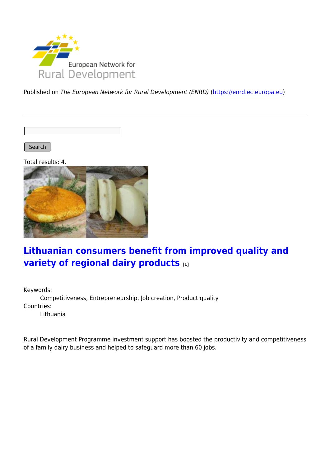

Published on The European Network for Rural Development (ENRD) [\(https://enrd.ec.europa.eu](https://enrd.ec.europa.eu))

Search |

Total results: 4.



### **[Lithuanian consumers benefit from improved quality and](https://enrd.ec.europa.eu/projects-practice/lithuanian-consumers-benefit-improved-quality-and-variety-regional-dairy-products_en) [variety of regional dairy products](https://enrd.ec.europa.eu/projects-practice/lithuanian-consumers-benefit-improved-quality-and-variety-regional-dairy-products_en) [1]**

Keywords: Competitiveness, Entrepreneurship, Job creation, Product quality Countries: Lithuania

Rural Development Programme investment support has boosted the productivity and competitiveness of a family dairy business and helped to safeguard more than 60 jobs.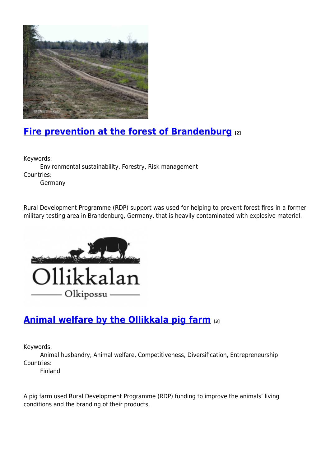

# **[Fire prevention at the forest of Brandenburg](https://enrd.ec.europa.eu/projects-practice/fire-prevention-forest-brandenburg_en) [2]**

Keywords:

Environmental sustainability, Forestry, Risk management Countries:

Germany

Rural Development Programme (RDP) support was used for helping to prevent forest fires in a former military testing area in Brandenburg, Germany, that is heavily contaminated with explosive material.



# **[Animal welfare by the Ollikkala pig farm](https://enrd.ec.europa.eu/projects-practice/animal-welfare-ollikkala-pig-farm_en) [3]**

Keywords:

Animal husbandry, Animal welfare, Competitiveness, Diversification, Entrepreneurship Countries:

Finland

A pig farm used Rural Development Programme (RDP) funding to improve the animals' living conditions and the branding of their products.